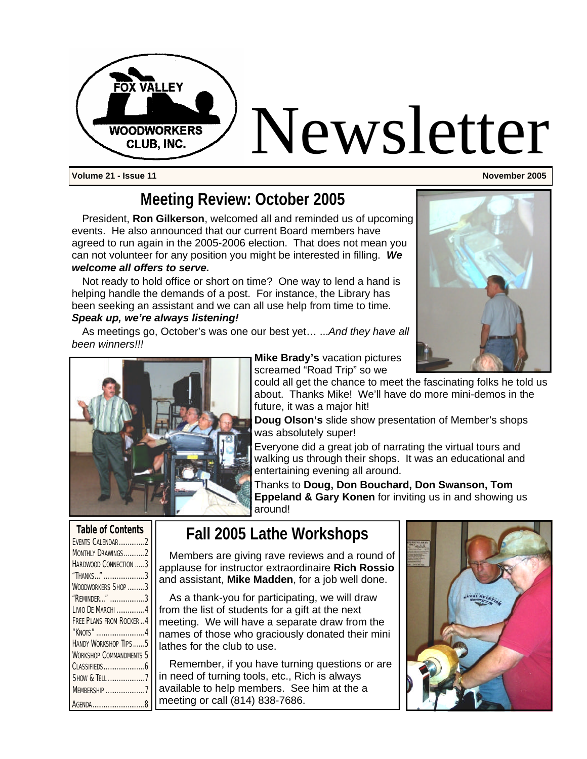

**Volume 21 - Issue 11 November 2005**

## **Meeting Review: October 2005**

President, **Ron Gilkerson**, welcomed all and reminded us of upcoming events. He also announced that our current Board members have agreed to run again in the 2005-2006 election. That does not mean you can not volunteer for any position you might be interested in filling. *We welcome all offers to serve.* 

Not ready to hold office or short on time? One way to lend a hand is helping handle the demands of a post. For instance, the Library has been seeking an assistant and we can all use help from time to time. *Speak up, we're always listening!*

As meetings go, October's was one our best yet… ...*And they have all been winners!!!*





**Mike Brady's** vacation pictures screamed "Road Trip" so we

could all get the chance to meet the fascinating folks he told us about. Thanks Mike! We'll have do more mini-demos in the future, it was a major hit!

**Doug Olson's** slide show presentation of Member's shops was absolutely super!

Everyone did a great job of narrating the virtual tours and walking us through their shops. It was an educational and entertaining evening all around.

Thanks to **Doug, Don Bouchard, Don Swanson, Tom Eppeland & Gary Konen** for inviting us in and showing us around!

| <b>Table of Contents</b>       |  |
|--------------------------------|--|
| EVENTS CALENDAR2               |  |
| MONTHLY DRAWINGS2              |  |
| HARDWOOD CONNECTION 3          |  |
| "Thanks" 3                     |  |
| WOODWORKERS SHOP 3             |  |
| "REMINDER" 3                   |  |
| Livio De Marchi  4             |  |
| FREE PLANS FROM ROCKER  4      |  |
| "KNOTS" 4                      |  |
| HANDY WORKSHOP TIPS5           |  |
| <b>WORKSHOP COMMANDMENTS 5</b> |  |
|                                |  |
| SHOW & TELL7                   |  |
| <b>MEMBERSHIP 7</b>            |  |
| AGENDA 8                       |  |

## **Fall 2005 Lathe Workshops**

Members are giving rave reviews and a round of applause for instructor extraordinaire **Rich Rossio**  and assistant, **Mike Madden**, for a job well done.

As a thank-you for participating, we will draw from the list of students for a gift at the next meeting. We will have a separate draw from the names of those who graciously donated their mini lathes for the club to use.

Remember, if you have turning questions or are in need of turning tools, etc., Rich is always available to help members. See him at the a meeting or call (814) 838-7686.

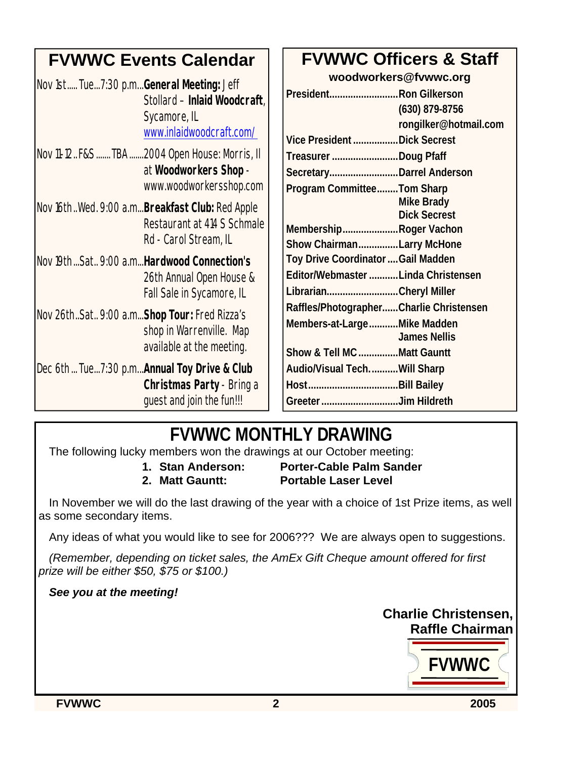| <b>FVWWC Events Calendar</b>                                                                                         | <b>FVWWC Officers &amp; Staff</b>                                                                                           |
|----------------------------------------------------------------------------------------------------------------------|-----------------------------------------------------------------------------------------------------------------------------|
| Nov 1st Tue7:30 p.mGeneral Meeting: Jeff<br>Stollard - Inlaid Woodcraft,<br>Sycamore, IL<br>www.inlaidwoodcraft.com/ | woodworkers@fvwwc.org<br>PresidentRon Gilkerson<br>$(630)$ 879-8756<br>rongilker@hotmail.com<br>Vice President Dick Secrest |
| Nov 11-12. F&S  TBA  2004 Open House: Morris, II<br>at Woodworkers Shop -<br>www.woodworkersshop.com                 | Treasurer Doug Pfaff<br>SecretaryDarrel Anderson<br>Program CommitteeTom Sharp                                              |
| Nov 16thWed. 9:00 a.m <b>Breakfast Club:</b> Red Apple<br>Restaurant at 414 S Schmale<br>Rd - Carol Stream, IL       | <b>Mike Brady</b><br><b>Dick Secrest</b><br>MembershipRoger Vachon<br>Show ChairmanLarry McHone                             |
| Nov 19th  Sat 9:00 a.m Hardwood Connection's<br>26th Annual Open House &<br>Fall Sale in Sycamore, IL                | Toy Drive Coordinator  Gail Madden<br>Editor/Webmaster Linda Christensen<br>LibrarianCheryl Miller                          |
| Nov 26thSat 9:00 a.mShop Tour: Fred Rizza's<br>shop in Warrenville. Map<br>available at the meeting.                 | Raffles/PhotographerCharlie Christensen<br>Members-at-LargeMike Madden<br><b>James Nellis</b><br>Show & Tell MC Matt Gauntt |
| Dec 6th  Tue7:30 p.m <b>Annual Toy Drive &amp; Club</b><br>Christmas Party - Bring a<br>guest and join the fun!!!    | Audio/Visual TechWill Sharp<br>Greeter Jim Hildreth                                                                         |

## **FVWWC MONTHLY DRAWING**

The following lucky members won the drawings at our October meeting:

**1. Stan Anderson: Porter-Cable Palm Sander 2. Matt Gauntt: Portable Laser Level**

In November we will do the last drawing of the year with a choice of 1st Prize items, as well as some secondary items.

Any ideas of what you would like to see for 2006??? We are always open to suggestions.

*(Remember, depending on ticket sales, the AmEx Gift Cheque amount offered for first prize will be either \$50, \$75 or \$100.)*

#### *See you at the meeting!*

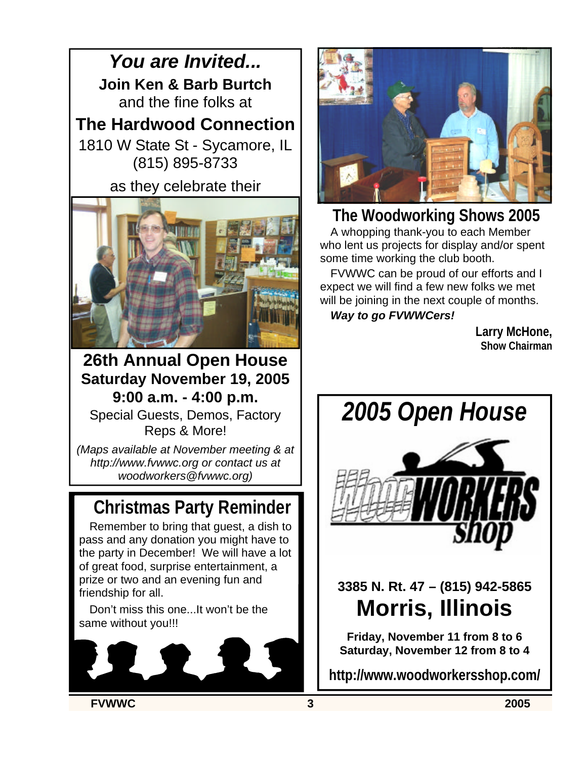*You are Invited...* **Join Ken & Barb Burtch** and the fine folks at

**The Hardwood Connection**

1810 W State St - Sycamore, IL (815) 895-8733

as they celebrate their



**26th Annual Open House Saturday November 19, 2005 9:00 a.m. - 4:00 p.m.** Special Guests, Demos, Factory Reps & More!

*(Maps available at November meeting & at http://www.fvwwc.org or contact us at woodworkers@fvwwc.org)*

## **Christmas Party Reminder**

Remember to bring that guest, a dish to pass and any donation you might have to the party in December! We will have a lot of great food, surprise entertainment, a prize or two and an evening fun and friendship for all.

Don't miss this one...It won't be the same without you!!!





**The Woodworking Shows 2005** A whopping thank-you to each Member

who lent us projects for display and/or spent some time working the club booth.

FVWWC can be proud of our efforts and I expect we will find a few new folks we met will be joining in the next couple of months. *Way to go FVWWCers!*

> **Larry McHone, Show Chairman**



**3385 N. Rt. 47 – (815) 942-5865 Morris, Illinois**

**Friday, November 11 from 8 to 6 Saturday, November 12 from 8 to 4**

**http://www.woodworkersshop.com/**

**FVWWC 3 2005**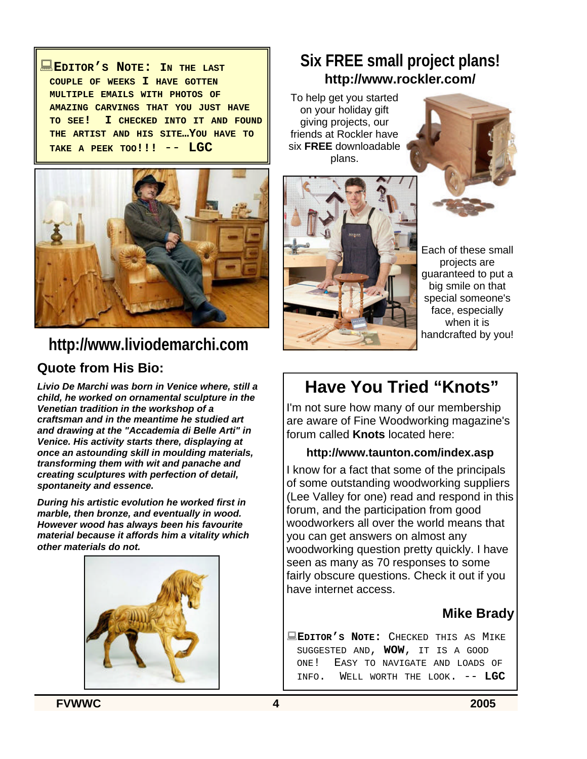:**EDITOR'S NOTE: I<sup>N</sup> THE LAST COUPLE OF WEEKS I HAVE GOTTEN MULTIPLE EMAILS WITH PHOTOS OF AMAZING CARVINGS THAT YOU JUST HAVE TO SEE! I CHECKED INTO IT AND FOUND THE ARTIST AND HIS SITE…YOU HAVE TO TAKE <sup>A</sup> PEEK TOO!!!** -- **LGC**



## **http://www.liviodemarchi.com**

#### **Quote from His Bio:**

*Livio De Marchi was born in Venice where, still a child, he worked on ornamental sculpture in the Venetian tradition in the workshop of a craftsman and in the meantime he studied art and drawing at the "Accademia di Belle Arti" in Venice. His activity starts there, displaying at once an astounding skill in moulding materials, transforming them with wit and panache and creating sculptures with perfection of detail, spontaneity and essence.*

*During his artistic evolution he worked first in marble, then bronze, and eventually in wood. However wood has always been his favourite material because it affords him a vitality which other materials do not.*



## **Six FREE small project plans! http://www.rockler.com/**

To help get you started on your holiday gift giving projects, our friends at Rockler have six **FREE** downloadable plans.





Each of these small projects are guaranteed to put a big smile on that special someone's face, especially when it is handcrafted by you!

## **Have You Tried "Knots"**

I'm not sure how many of our membership are aware of Fine Woodworking magazine's forum called **Knots** located here:

#### **http://www.taunton.com/index.asp**

I know for a fact that some of the principals of some outstanding woodworking suppliers (Lee Valley for one) read and respond in this forum, and the participation from good woodworkers all over the world means that you can get answers on almost any woodworking question pretty quickly. I have seen as many as 70 responses to some fairly obscure questions. Check it out if you have internet access.

#### **Mike Brady**

:**EDITOR'S NOTE:** CHECKED THIS AS MIKE SUGGESTED AND, **WOW**, IT IS A GOOD ONE! EASY TO NAVIGATE AND LOADS OF INFO. WELL WORTH THE LOOK. -- LGC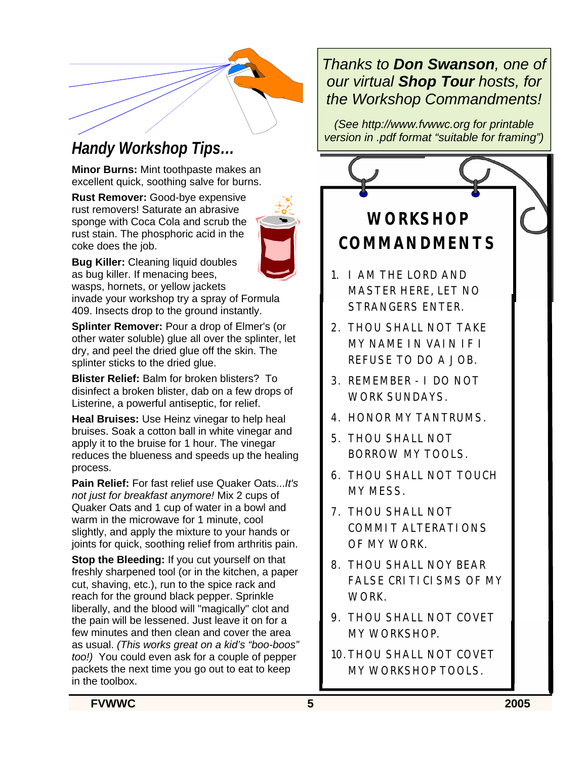

**Minor Burns:** Mint toothpaste makes an excellent quick, soothing salve for burns.

**Rust Remover:** Good-bye expensive rust removers! Saturate an abrasive sponge with Coca Cola and scrub the rust stain. The phosphoric acid in the coke does the job.



**Bug Killer:** Cleaning liquid doubles as bug killer. If menacing bees, wasps, hornets, or yellow jackets invade your workshop try a spray of Formula 409. Insects drop to the ground instantly.

**Splinter Remover:** Pour a drop of Elmer's (or other water soluble) glue all over the splinter, let dry, and peel the dried glue off the skin. The splinter sticks to the dried glue.

**Blister Relief:** Balm for broken blisters? To disinfect a broken blister, dab on a few drops of Listerine, a powerful antiseptic, for relief.

**Heal Bruises:** Use Heinz vinegar to help heal bruises. Soak a cotton ball in white vinegar and apply it to the bruise for 1 hour. The vinegar reduces the blueness and speeds up the healing process.

**Pain Relief:** For fast relief use Quaker Oats...*It's not just for breakfast anymore!* Mix 2 cups of Quaker Oats and 1 cup of water in a bowl and warm in the microwave for 1 minute, cool slightly, and apply the mixture to your hands or joints for quick, soothing relief from arthritis pain.

**Stop the Bleeding:** If you cut yourself on that freshly sharpened tool (or in the kitchen, a paper cut, shaving, etc.), run to the spice rack and reach for the ground black pepper. Sprinkle liberally, and the blood will "magically" clot and the pain will be lessened. Just leave it on for a few minutes and then clean and cover the area as usual. *(This works great on a kid's "boo-boos" too!)* You could even ask for a couple of pepper packets the next time you go out to eat to keep in the toolbox.

## *Thanks to Don Swanson, one of our virtual Shop Tour hosts, for the Workshop Commandments!*

*(See http://www.fvwwc.org for printable version in .pdf format "suitable for framing") Handy Workshop Tips…*

## **WORKSHOP COMMANDMENTS**

- 1. I AM THE LORD AND MASTER HERE, LET NO STRANGERS ENTER.
- 2. THOU SHALL NOT TAKE MY NAME IN VAIN IF I REFUSE TO DO A JOB.
- 3. REMEMBER I DO NOT WORK SUNDAYS.
- 4. HONOR MY TANTRUMS.
- 5. THOU SHALL NOT BORROW MY TOOLS.
- 6. THOU SHALL NOT TOUCH MY MESS.
- 7. THOU SHALL NOT COMMIT ALTERATIONS OF MY WORK.
- 8. THOU SHALL NOY BEAR FALSE CRITICISMS OF MY WORK.
- 9. THOU SHALL NOT COVET MY WORKSHOP.
- 10. THOU SHALL NOT COVET MY WORKSHOP TOOLS.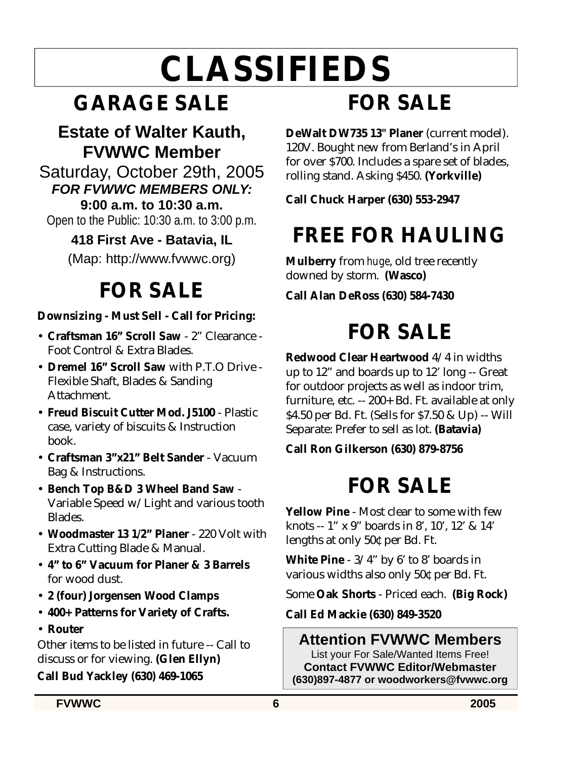# **CLASSIFIEDS**

## **GARAGE SALE**

## **Estate of Walter Kauth, FVWWC Member**

Saturday, October 29th, 2005 *FOR FVWWC MEMBERS ONLY:*

**9:00 a.m. to 10:30 a.m.**

Open to the Public: 10:30 a.m. to 3:00 p.m.

#### **418 First Ave - Batavia, IL** (Map: http://www.fvwwc.org)

## **FOR SALE**

## **Downsizing - Must Sell - Call for Pricing:**

- **Craftsman 16" Scroll Saw**  2" Clearance Foot Control & Extra Blades.
- **Dremel 16" Scroll Saw** with P.T.O Drive Flexible Shaft, Blades & Sanding Attachment.
- **Freud Biscuit Cutter Mod. J5100** Plastic case, variety of biscuits & Instruction book.
- **Craftsman 3"x21" Belt Sander** Vacuum Bag & Instructions.
- **Bench Top B&D 3 Wheel Band Saw** Variable Speed w/Light and various tooth Blades.
- **Woodmaster 13 1/2" Planer**  220 Volt with Extra Cutting Blade & Manual.
- **4" to 6" Vacuum for Planer & 3 Barrels** for wood dust.
- **2 (four) Jorgensen Wood Clamps**
- **400+ Patterns for Variety of Crafts.**
- **Router**

Other items to be listed in future -- Call to discuss or for viewing. **(Glen Ellyn)**

### **Call Bud Yackley (630) 469-1065**

## **FOR SALE**

**DeWalt DW735 13" Planer** (current model). 120V. Bought new from Berland's in April for over \$700. Includes a spare set of blades, rolling stand. Asking \$450. **(Yorkville)**

**Call Chuck Harper (630) 553-2947** 

## **FREE FOR HAULING**

**Mulberry** from *huge*, old tree recently downed by storm. **(Wasco)**

**Call Alan DeRoss (630) 584-7430**

## **FOR SALE**

**Redwood Clear Heartwood** 4/4 in widths up to 12" and boards up to 12' long -- Great for outdoor projects as well as indoor trim, furniture, etc. -- 200+ Bd. Ft. available at only \$4.50 per Bd. Ft. (Sells for \$7.50 & Up) -- Will Separate: Prefer to sell as lot. **(Batavia)**

#### **Call Ron Gilkerson (630) 879-8756**

## **FOR SALE**

**Yellow Pine** - Most clear to some with few knots -- 1" x 9" boards in 8', 10', 12' & 14' lengths at only 50¢ per Bd. Ft.

**White Pine** - 3/4" by 6' to 8' boards in various widths also only 50¢ per Bd. Ft.

Some **Oak Shorts** - Priced each. **(Big Rock)**

**Call Ed Mackie (630) 849-3520**

## **Attention FVWWC Members**

List your For Sale/Wanted Items Free! **Contact FVWWC Editor/Webmaster (630)897-4877 or woodworkers@fvwwc.org**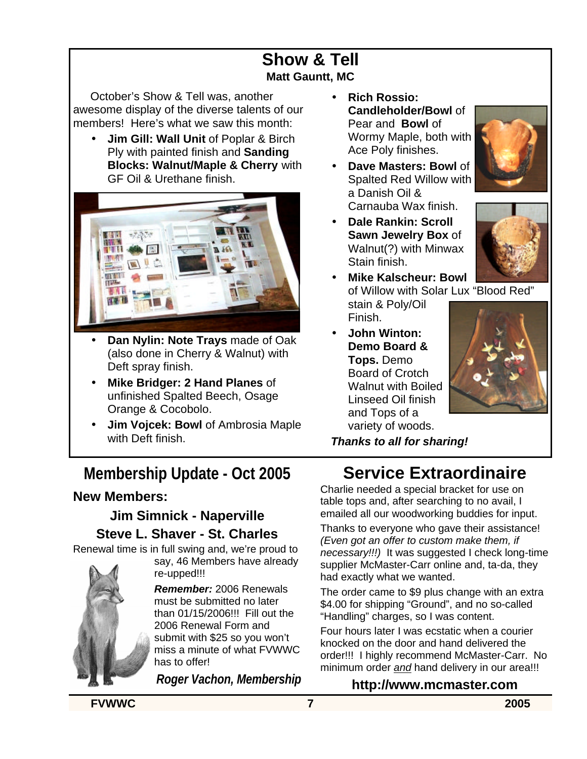### **Show & Tell Matt Gauntt, MC**

October's Show & Tell was, another awesome display of the diverse talents of our members! Here's what we saw this month:

• **Jim Gill: Wall Unit** of Poplar & Birch Ply with painted finish and **Sanding Blocks: Walnut/Maple & Cherry** with GF Oil & Urethane finish.



- **Dan Nylin: Note Trays** made of Oak (also done in Cherry & Walnut) with Deft spray finish.
- **Mike Bridger: 2 Hand Planes** of unfinished Spalted Beech, Osage Orange & Cocobolo.
- **Jim Vojcek: Bowl** of Ambrosia Maple with Deft finish.

## **Membership Update - Oct 2005**

#### **New Members:**

### **Jim Simnick - Naperville Steve L. Shaver - St. Charles**

Renewal time is in full swing and, we're proud to

re-upped!!! *Remember:* 2006 Renewals must be submitted no later than 01/15/2006!!! Fill out the 2006 Renewal Form and submit with \$25 so you won't miss a minute of what FVWWC has to offer!

say, 46 Members have already

*Roger Vachon, Membership*

- **Rich Rossio: Candleholder/Bowl** of Pear and **Bowl** of Wormy Maple, both with Ace Poly finishes.
- **Dave Masters: Bowl** of Spalted Red Willow with a Danish Oil & Carnauba Wax finish.



- **Dale Rankin: Scroll Sawn Jewelry Box** of Walnut(?) with Minwax Stain finish.
- **Mike Kalscheur: Bowl** of Willow with Solar Lux "Blood Red" stain & Poly/Oil Finish.
- **John Winton: Demo Board & Tops.** Demo Board of Crotch Walnut with Boiled Linseed Oil finish and Tops of a variety of woods.



*Thanks to all for sharing!*

## **Service Extraordinaire**

Charlie needed a special bracket for use on table tops and, after searching to no avail, I emailed all our woodworking buddies for input.

Thanks to everyone who gave their assistance! *(Even got an offer to custom make them, if necessary!!!)* It was suggested I check long-time supplier McMaster-Carr online and, ta-da, they had exactly what we wanted.

The order came to \$9 plus change with an extra \$4.00 for shipping "Ground", and no so-called "Handling" charges, so I was content.

Four hours later I was ecstatic when a courier knocked on the door and hand delivered the order!!! I highly recommend McMaster-Carr. No minimum order *and* hand delivery in our area!!!

#### **http://www.mcmaster.com**

**FVWWC 7 2005**